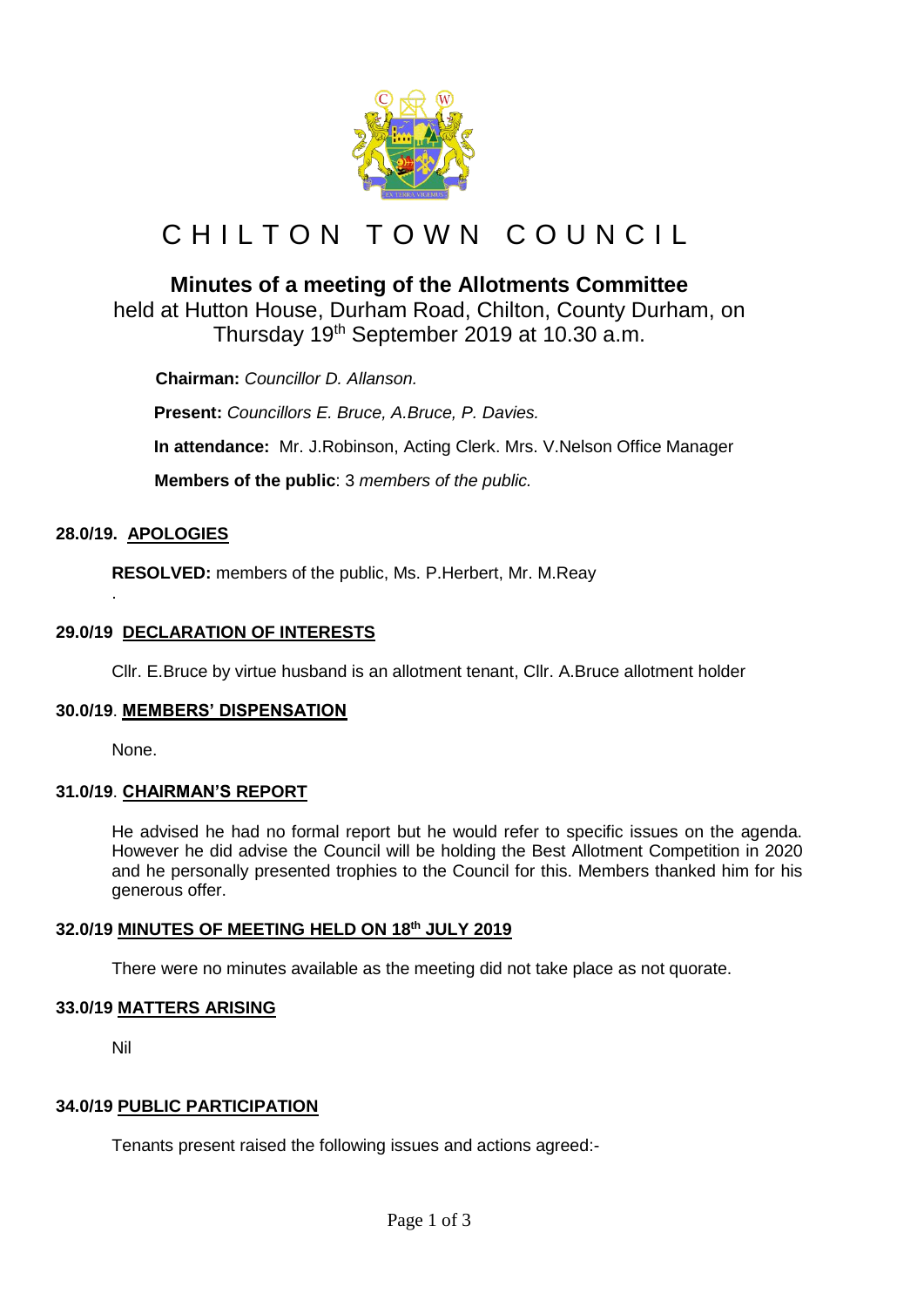

# CHILTON TOWN COUNCIL

# **Minutes of a meeting of the Allotments Committee**

held at Hutton House, Durham Road, Chilton, County Durham, on Thursday 19<sup>th</sup> September 2019 at 10.30 a.m.

 **Chairman:** *Councillor D. Allanson.*

**Present:** *Councillors E. Bruce, A.Bruce, P. Davies.* **In attendance:** Mr. J.Robinson, Acting Clerk. Mrs. V.Nelson Office Manager

 **Members of the public**: 3 *members of the public.*

# **28.0/19. APOLOGIES**

.

**RESOLVED:** members of the public, Ms. P.Herbert, Mr. M.Reay

# **29.0/19 DECLARATION OF INTERESTS**

Cllr. E.Bruce by virtue husband is an allotment tenant, Cllr. A.Bruce allotment holder

#### **30.0/19**. **MEMBERS' DISPENSATION**

None.

#### **31.0/19**. **CHAIRMAN'S REPORT**

He advised he had no formal report but he would refer to specific issues on the agenda. However he did advise the Council will be holding the Best Allotment Competition in 2020 and he personally presented trophies to the Council for this. Members thanked him for his generous offer.

# **32.0/19 MINUTES OF MEETING HELD ON 18th JULY 2019**

There were no minutes available as the meeting did not take place as not quorate.

# **33.0/19 MATTERS ARISING**

Nil

# **34.0/19 PUBLIC PARTICIPATION**

Tenants present raised the following issues and actions agreed:-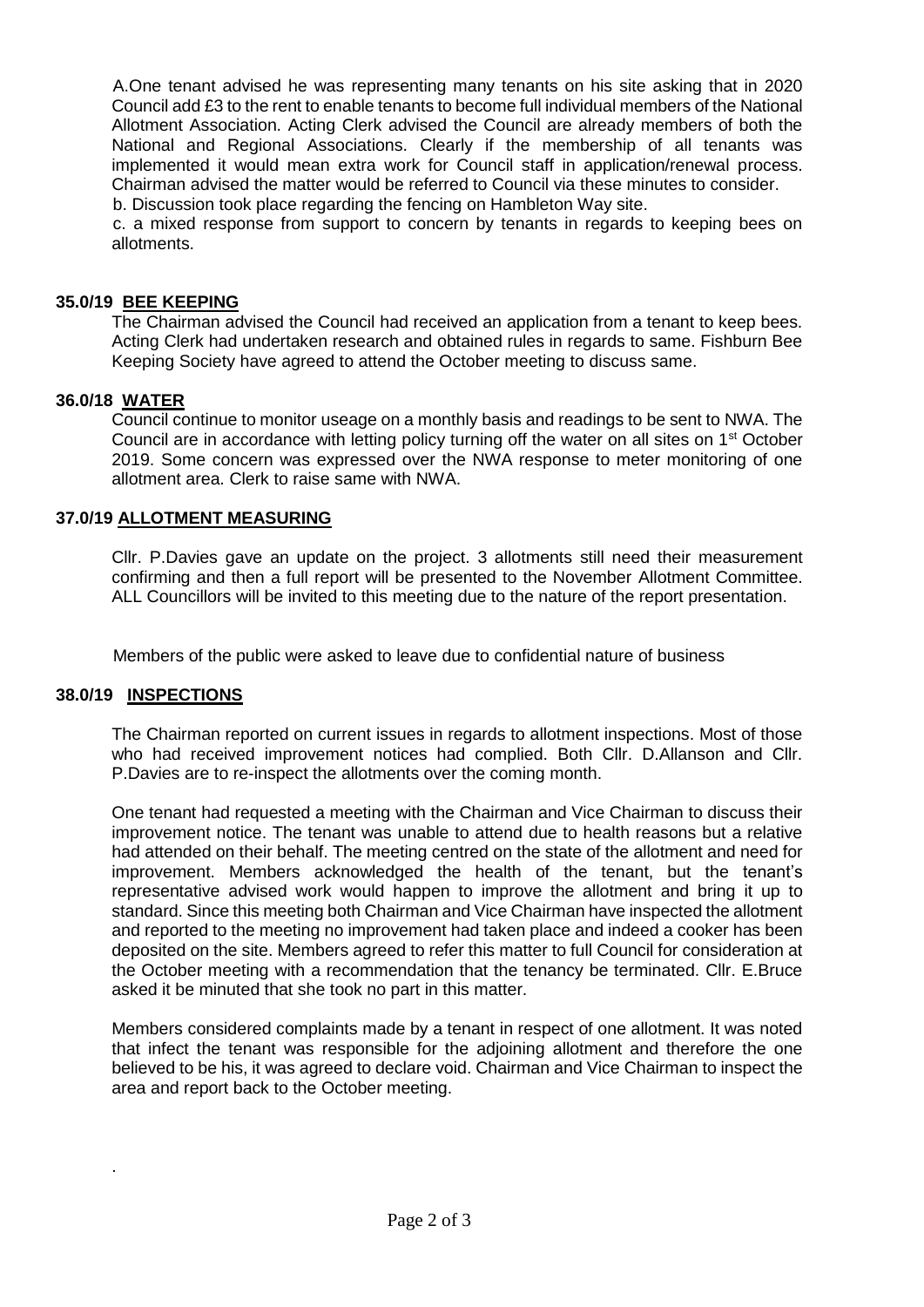A.One tenant advised he was representing many tenants on his site asking that in 2020 Council add £3 to the rent to enable tenants to become full individual members of the National Allotment Association. Acting Clerk advised the Council are already members of both the National and Regional Associations. Clearly if the membership of all tenants was implemented it would mean extra work for Council staff in application/renewal process. Chairman advised the matter would be referred to Council via these minutes to consider.

b. Discussion took place regarding the fencing on Hambleton Way site.

c. a mixed response from support to concern by tenants in regards to keeping bees on allotments.

#### **35.0/19 BEE KEEPING**

The Chairman advised the Council had received an application from a tenant to keep bees. Acting Clerk had undertaken research and obtained rules in regards to same. Fishburn Bee Keeping Society have agreed to attend the October meeting to discuss same.

#### **36.0/18 WATER**

Council continue to monitor useage on a monthly basis and readings to be sent to NWA. The Council are in accordance with letting policy turning off the water on all sites on 1<sup>st</sup> October 2019. Some concern was expressed over the NWA response to meter monitoring of one allotment area. Clerk to raise same with NWA.

#### **37.0/19 ALLOTMENT MEASURING**

Cllr. P.Davies gave an update on the project. 3 allotments still need their measurement confirming and then a full report will be presented to the November Allotment Committee. ALL Councillors will be invited to this meeting due to the nature of the report presentation.

Members of the public were asked to leave due to confidential nature of business

#### **38.0/19 INSPECTIONS**

.

The Chairman reported on current issues in regards to allotment inspections. Most of those who had received improvement notices had complied. Both Cllr. D.Allanson and Cllr. P.Davies are to re-inspect the allotments over the coming month.

One tenant had requested a meeting with the Chairman and Vice Chairman to discuss their improvement notice. The tenant was unable to attend due to health reasons but a relative had attended on their behalf. The meeting centred on the state of the allotment and need for improvement. Members acknowledged the health of the tenant, but the tenant's representative advised work would happen to improve the allotment and bring it up to standard. Since this meeting both Chairman and Vice Chairman have inspected the allotment and reported to the meeting no improvement had taken place and indeed a cooker has been deposited on the site. Members agreed to refer this matter to full Council for consideration at the October meeting with a recommendation that the tenancy be terminated. Cllr. E.Bruce asked it be minuted that she took no part in this matter.

Members considered complaints made by a tenant in respect of one allotment. It was noted that infect the tenant was responsible for the adjoining allotment and therefore the one believed to be his, it was agreed to declare void. Chairman and Vice Chairman to inspect the area and report back to the October meeting.